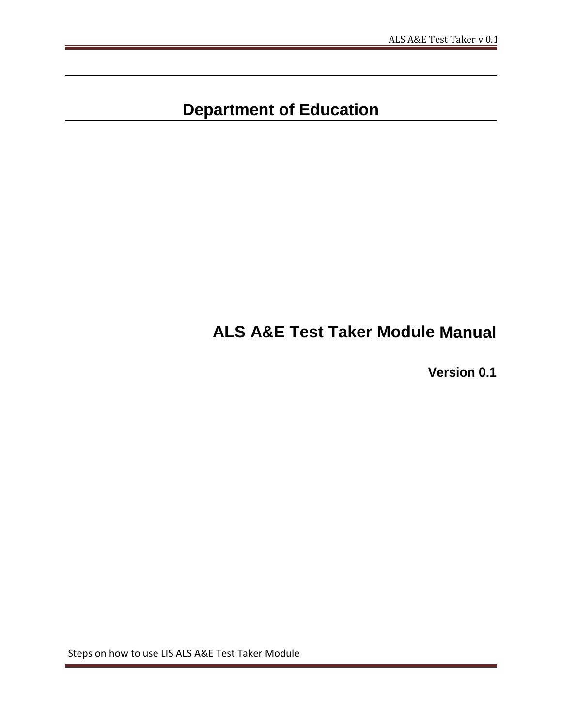# **Department of Education**

## **ALS A&E Test Taker Module Manual**

**Version 0.1**

Steps on how to use LIS ALS A&E Test Taker Module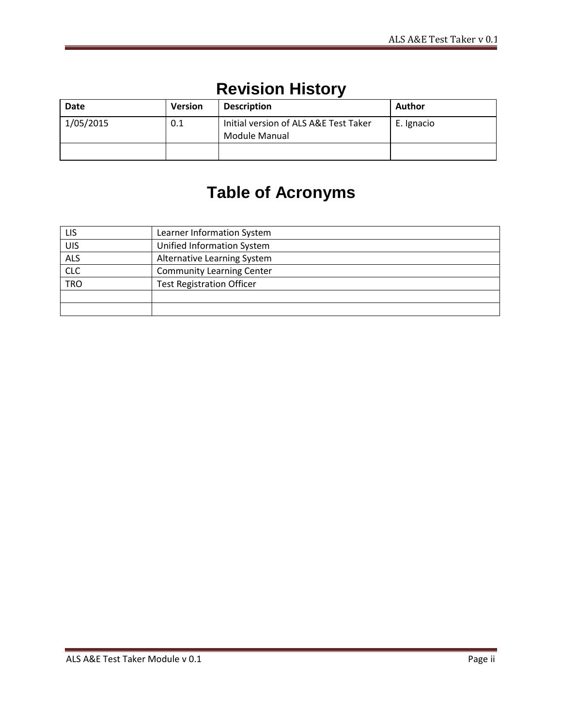| <b>Revision History</b> |  |
|-------------------------|--|
|-------------------------|--|

| Date      | <b>Version</b> | <b>Description</b>                                     | <b>Author</b> |
|-----------|----------------|--------------------------------------------------------|---------------|
| 1/05/2015 | 0.1            | Initial version of ALS A&E Test Taker<br>Module Manual | E. Ignacio    |
|           |                |                                                        |               |

# **Table of Acronyms**

| LIS        | Learner Information System       |
|------------|----------------------------------|
| UIS        | Unified Information System       |
| <b>ALS</b> | Alternative Learning System      |
| CLC        | <b>Community Learning Center</b> |
| <b>TRO</b> | <b>Test Registration Officer</b> |
|            |                                  |
|            |                                  |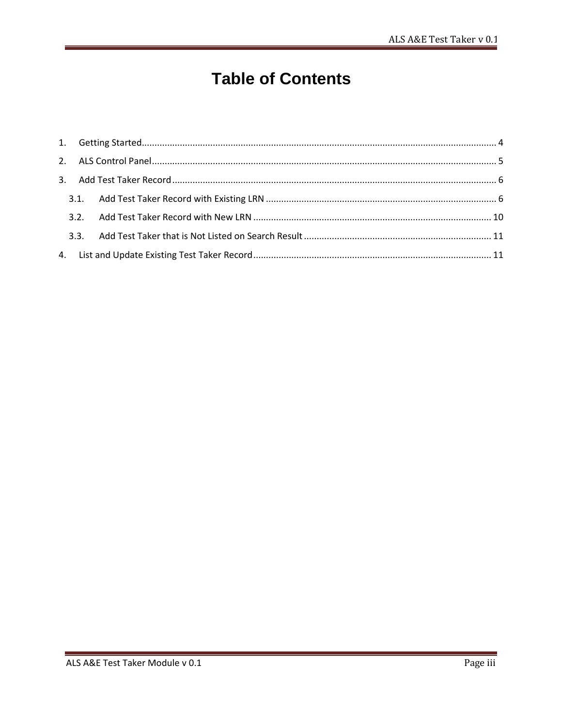# **Table of Contents**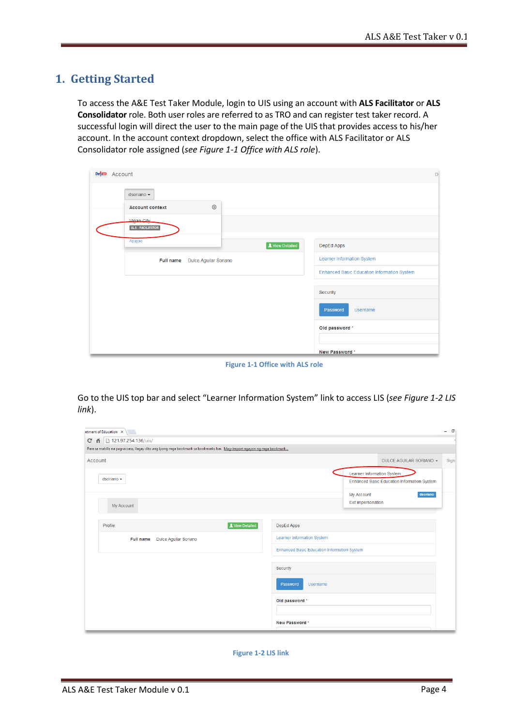## <span id="page-3-0"></span>**1. Getting Started**

To access the A&E Test Taker Module, login to UIS using an account with **ALS Facilitator** or **ALS Consolidator** role. Both user roles are referred to as TRO and can register test taker record. A successful login will direct the user to the main page of the UIS that provides access to his/her account. In the account context dropdown, select the office with ALS Facilitator or ALS Consolidator role assigned (*see Figure 1-1 Office with ALS role*).

| DepED Account |                                          | D                                                  |
|---------------|------------------------------------------|----------------------------------------------------|
|               | dsoriano -                               |                                                    |
|               | $\circledcirc$<br><b>Account context</b> |                                                    |
|               | Vigan City<br>ALS - FACILITATOR          |                                                    |
|               | Apayao<br>View Detailed                  | DepEd Apps                                         |
|               | Dulce Aguilar Soriano<br>Full name       | <b>Learner Information System</b>                  |
|               |                                          | <b>Enhanced Basic Education Information System</b> |
|               |                                          |                                                    |
|               |                                          | Security                                           |
|               |                                          | Password<br>Username                               |
|               |                                          | Old password *                                     |
|               |                                          |                                                    |
|               |                                          | New Password*                                      |

**Figure 1-1 Office with ALS role**

Go to the UIS top bar and select "Learner Information System" link to access LIS (*see Figure 1-2 LIS link*).

| intment of Education X                                                                                                |                                                    |                                  |                                             | - 0  |
|-----------------------------------------------------------------------------------------------------------------------|----------------------------------------------------|----------------------------------|---------------------------------------------|------|
| 121.97.254.136/uis/<br>G.<br>作                                                                                        |                                                    |                                  |                                             |      |
| Para sa mabilis na pag-access, ilagay dito ang iyong mga bookmark sa bookmarks bar. Mag-import ngayon ng mga bookmark |                                                    |                                  |                                             |      |
| Account                                                                                                               |                                                    |                                  | DULCE AGUILAR SORIANO -                     | Sign |
| dsoriano -                                                                                                            |                                                    | Learner Information System       | Enhanced Basic Education Information System |      |
| My Account                                                                                                            |                                                    | My Account<br>Exit impersonation | dsoriano                                    |      |
| View Detailed<br>Profile                                                                                              | DepEd Apps                                         |                                  |                                             |      |
| Dulce Aguilar Soriano<br>Full name                                                                                    | Learner Information System                         |                                  |                                             |      |
|                                                                                                                       | <b>Enhanced Basic Education Information System</b> |                                  |                                             |      |
|                                                                                                                       | Security                                           |                                  |                                             |      |
|                                                                                                                       | Password<br>Username                               |                                  |                                             |      |
|                                                                                                                       | Old password *                                     |                                  |                                             |      |
|                                                                                                                       | New Password *                                     |                                  |                                             |      |

#### **Figure 1-2 LIS link**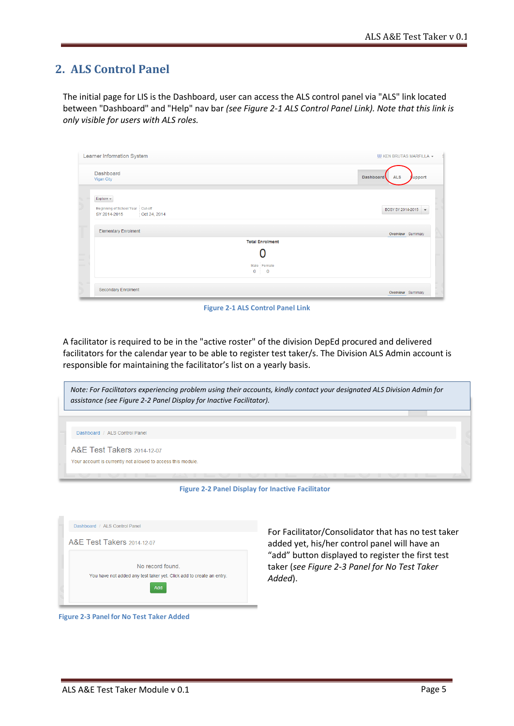## <span id="page-4-0"></span>**2. ALS Control Panel**

The initial page for LIS is the Dashboard, user can access the ALS control panel via "ALS" link located between "Dashboard" and "Help" nav bar *(see Figure 2-1 ALS Control Panel Link). Note that this link is only visible for users with ALS roles.*

| Learner Information System                                                    |                                            | <b>W KEN BRUTAS MARFILLA -</b>                |
|-------------------------------------------------------------------------------|--------------------------------------------|-----------------------------------------------|
| Dashboard<br>Vigan City                                                       |                                            | <b>Dashboard</b><br>ALS<br>Jupport            |
| Explore -<br>Beginning of School Year Cut-off<br>Oct 24, 2014<br>SY 2014-2015 |                                            | BOSY SY 2014-2015<br>$\overline{\phantom{a}}$ |
| <b>Elementary Enrolment</b>                                                   |                                            | Overview Summary                              |
|                                                                               | <b>Total Enrolment</b>                     |                                               |
|                                                                               |                                            |                                               |
|                                                                               | Male Female<br>$\bullet$<br>$\overline{0}$ |                                               |
| <b>Secondary Enrolment</b>                                                    |                                            | Overview Summary                              |

**Figure 2-1 ALS Control Panel Link**

A facilitator is required to be in the "active roster" of the division DepEd procured and delivered facilitators for the calendar year to be able to register test taker/s. The Division ALS Admin account is responsible for maintaining the facilitator's list on a yearly basis.

| Note: For Facilitators experiencing problem using their accounts, kindly contact your designated ALS Division Admin for<br>assistance (see Figure 2-2 Panel Display for Inactive Facilitator). |  |
|------------------------------------------------------------------------------------------------------------------------------------------------------------------------------------------------|--|
| Dashboard / ALS Control Panel                                                                                                                                                                  |  |
| A&E Test Takers 2014-12-07<br>Your account is currently not allowed to access this module.                                                                                                     |  |



| Dashboard / ALS Control Panel                                        |
|----------------------------------------------------------------------|
| A&E Test Takers 2014-12-07                                           |
| No record found                                                      |
| You have not added any test taker yet. Click add to create an entry. |
| Add                                                                  |

 **Figure 2-3 Panel for No Test Taker Added**

For Facilitator/Consolidator that has no test taker added yet, his/her control panel will have an "add" button displayed to register the first test taker (*see Figure 2-3 Panel for No Test Taker Added*).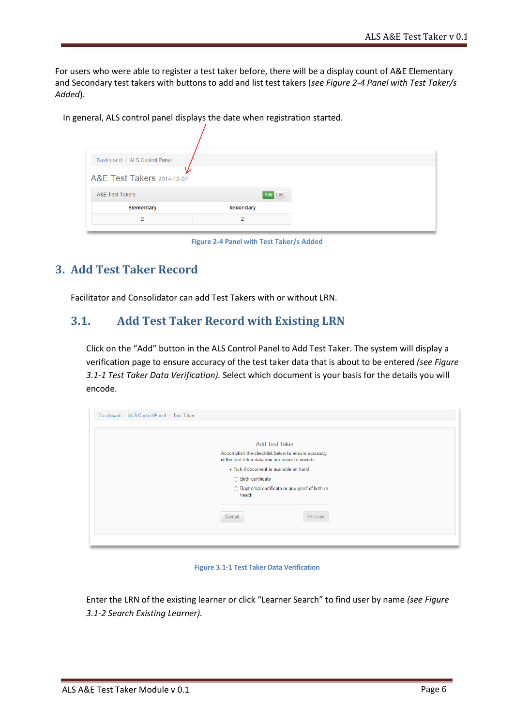For users who were able to register a test taker before, there will be a display count of A&E Elementary and Secondary test takers with buttons to add and list test takers (*see Figure 2-4 Panel with Test Taker/s Added*).

In general, ALS control panel displays the date when registration started.

| Dashboard / ALS Control Panel |                |
|-------------------------------|----------------|
| A&E Test Takers 2014-12-07    |                |
| <b>A&amp;E Test Takers</b>    | Add List       |
| <b>Elementary</b>             | Secondary      |
| 2                             | $\overline{2}$ |
|                               |                |

**Figure 2-4 Panel with Test Taker/s Added**

## <span id="page-5-1"></span><span id="page-5-0"></span>**3. Add Test Taker Record**

Facilitator and Consolidator can add Test Takers with or without LRN.

### **3.1. Add Test Taker Record with Existing LRN**

Click on the "Add" button in the ALS Control Panel to Add Test Taker. The system will display a verification page to ensure accuracy of the test taker data that is about to be entered *(see Figure 3.1-1 Test Taker Data Verification).* Select which document is your basis for the details you will encode.

| Dashboard / ALS Control Panel / Test Taker |                                                                                                      |  |
|--------------------------------------------|------------------------------------------------------------------------------------------------------|--|
|                                            | <b>Add Test Taker</b>                                                                                |  |
|                                            | Accomplish the checklist below to ensure accuracy<br>of the test taker data you are about to encode. |  |
|                                            | • Tick if document is available on hand                                                              |  |
|                                            | ◯ Birth certificate                                                                                  |  |
|                                            | ◯ Baptismal certificate or any proof of birth or<br>health                                           |  |
|                                            | Proceed<br>Cancel                                                                                    |  |
|                                            |                                                                                                      |  |

**Figure 3.1-1 Test Taker Data Verification**

Enter the LRN of the existing learner or click "Learner Search" to find user by name *(see Figure 3.1-2 Search Existing Learner).*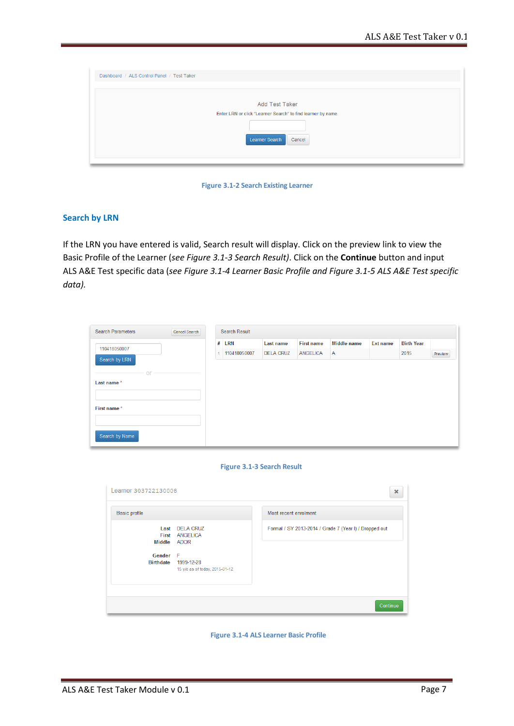|  | <b>Add Test Taker</b>                                        |  |
|--|--------------------------------------------------------------|--|
|  | Enter LRN or click "Learner Search" to find learner by name. |  |
|  |                                                              |  |
|  | Learner Search<br>Cancel                                     |  |



### **Search by LRN**

If the LRN you have entered is valid, Search result will display. Click on the preview link to view the Basic Profile of the Learner (*see Figure 3.1-3 Search Result)*. Click on the **Continue** button and input ALS A&E Test specific data (*see Figure 3.1-4 Learner Basic Profile and Figure 3.1-5 ALS A&E Test specific data).*

| Search Parameters<br>Cancel Search |   | Search Result |                  |                   |                |                 |                   |         |
|------------------------------------|---|---------------|------------------|-------------------|----------------|-----------------|-------------------|---------|
| 110418050007                       | # | <b>LRN</b>    | Last name        | <b>First name</b> | Middle name    | <b>Ext name</b> | <b>Birth Year</b> |         |
| Search by LRN                      |   | 110418050007  | <b>DELA CRUZ</b> | <b>ANGELICA</b>   | $\overline{A}$ |                 | 2015              | Preview |
| $or -$                             |   |               |                  |                   |                |                 |                   |         |
| Last name*                         |   |               |                  |                   |                |                 |                   |         |
|                                    |   |               |                  |                   |                |                 |                   |         |
| First name*                        |   |               |                  |                   |                |                 |                   |         |
|                                    |   |               |                  |                   |                |                 |                   |         |
|                                    |   |               |                  |                   |                |                 |                   |         |
| Search by Name                     |   |               |                  |                   |                |                 |                   |         |



| <b>Basic profile</b> |                                                                                                           | Most recent enrolment                                  |
|----------------------|-----------------------------------------------------------------------------------------------------------|--------------------------------------------------------|
| Gender F             | Last DELA CRUZ<br>First ANGELICA<br>Middle ADOR<br>Birthdate 1999-12-28<br>15 y/o as of today, 2015-01-12 | Formal / SY 2013-2014 / Grade 7 (Year I) / Dropped out |

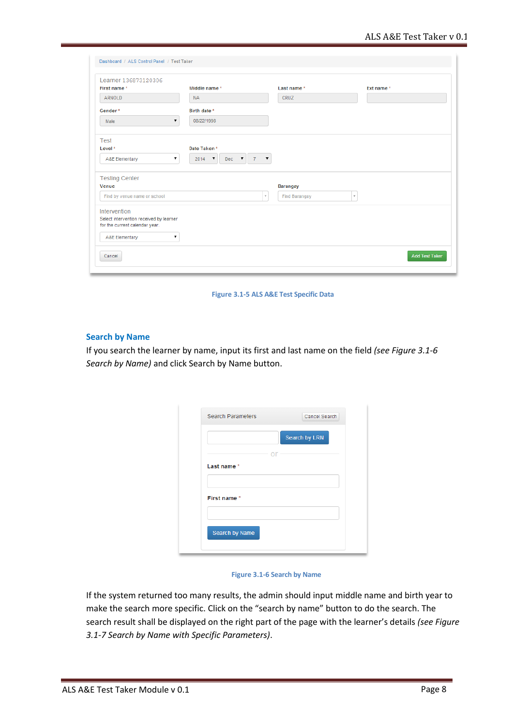| Learner 136873120306<br>First name*                                       | Middle name*                                       | Last name*                        | Ext name* |
|---------------------------------------------------------------------------|----------------------------------------------------|-----------------------------------|-----------|
| ARNOLD                                                                    | <b>NA</b>                                          | CRUZ                              |           |
| Gender*                                                                   | Birth date *                                       |                                   |           |
| ▼<br>Male                                                                 | 08/22/1998                                         |                                   |           |
| <b>Test</b>                                                               |                                                    |                                   |           |
| Level <sup>*</sup>                                                        | Date Taken*                                        |                                   |           |
| A&E Elementary<br>۷.                                                      | $2014$ <b>v</b><br>Dec $\mathbf{v}$ 7 $\mathbf{v}$ |                                   |           |
| <b>Testing Center</b>                                                     |                                                    |                                   |           |
| Venue                                                                     |                                                    | Barangay                          |           |
| Find by venue name or school                                              | $\mathbf{v}$                                       | <b>Find Barangay</b><br>$\forall$ |           |
| Intervention                                                              |                                                    |                                   |           |
| Select intervention received by learner<br>for the current calendar year. |                                                    |                                   |           |
| ۰<br>A&E Elementary                                                       |                                                    |                                   |           |

**Figure 3.1-5 ALS A&E Test Specific Data**

### **Search by Name**

If you search the learner by name, input its first and last name on the field *(see Figure 3.1-6 Search by Name)* and click Search by Name button.

| <b>Search Parameters</b> | Cancel Search |
|--------------------------|---------------|
|                          | Search by LRN |
|                          |               |
| Last name *              |               |
|                          |               |
| First name *             |               |
|                          |               |
|                          |               |
| Search by Name           |               |
|                          |               |

### **Figure 3.1-6 Search by Name**

If the system returned too many results, the admin should input middle name and birth year to make the search more specific. Click on the "search by name" button to do the search. The search result shall be displayed on the right part of the page with the learner's details *(see Figure 3.1-7 Search by Name with Specific Parameters)*.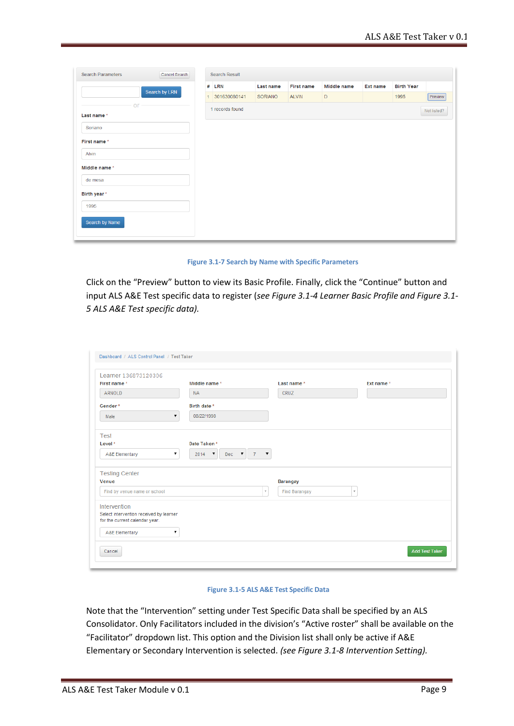| <b>Search Parameters</b> | Cancel Search |              | Search Result   |                |                   |             |                 |                   |             |
|--------------------------|---------------|--------------|-----------------|----------------|-------------------|-------------|-----------------|-------------------|-------------|
|                          | Search by LRN |              | # LRN           | Last name      | <b>First name</b> | Middle name | <b>Ext name</b> | <b>Birth Year</b> |             |
|                          |               | $\mathbf{1}$ | 301630080141    | <b>SORIANO</b> | <b>ALVIN</b>      | $\mathsf D$ |                 | 1995              | Preview     |
| or                       |               |              | 1 records found |                |                   |             |                 |                   | Not listed? |
| Last name *              |               |              |                 |                |                   |             |                 |                   |             |
| Soriano                  |               |              |                 |                |                   |             |                 |                   |             |
| First name *             |               |              |                 |                |                   |             |                 |                   |             |
| Alvin                    |               |              |                 |                |                   |             |                 |                   |             |
| Middle name *            |               |              |                 |                |                   |             |                 |                   |             |
| de mesa                  |               |              |                 |                |                   |             |                 |                   |             |
| Birth year *             |               |              |                 |                |                   |             |                 |                   |             |
| 1995                     |               |              |                 |                |                   |             |                 |                   |             |
|                          |               |              |                 |                |                   |             |                 |                   |             |
| Search by Name           |               |              |                 |                |                   |             |                 |                   |             |



Click on the "Preview" button to view its Basic Profile. Finally, click the "Continue" button and input ALS A&E Test specific data to register (*see Figure 3.1-4 Learner Basic Profile and Figure 3.1- 5 ALS A&E Test specific data).*

| Learner 136873120306<br>First name*                                       | Middle name*                                 | Last name*                          | Ext name* |
|---------------------------------------------------------------------------|----------------------------------------------|-------------------------------------|-----------|
| ARNOLD                                                                    | <b>NA</b>                                    | CRUZ                                |           |
| Gender*                                                                   | Birth date *                                 |                                     |           |
| ▼<br>Male                                                                 | 08/22/1998                                   |                                     |           |
| <b>Test</b>                                                               |                                              |                                     |           |
| Level*                                                                    | Date Taken*                                  |                                     |           |
| A&E Elementary<br>▼                                                       | Dec $\bullet$ 7 $\bullet$<br>$2014$ <b>v</b> |                                     |           |
| <b>Testing Center</b>                                                     |                                              |                                     |           |
| Venue                                                                     |                                              | Barangay                            |           |
| Find by venue name or school                                              | $\forall$                                    | <b>Find Barangay</b><br>$\mathbf v$ |           |
| Intervention                                                              |                                              |                                     |           |
| Select intervention received by learner<br>for the current calendar year. |                                              |                                     |           |
| A&E Elementary<br>▼                                                       |                                              |                                     |           |

#### **Figure 3.1-5 ALS A&E Test Specific Data**

Note that the "Intervention" setting under Test Specific Data shall be specified by an ALS Consolidator. Only Facilitators included in the division's "Active roster" shall be available on the "Facilitator" dropdown list. This option and the Division list shall only be active if A&E Elementary or Secondary Intervention is selected. *(see Figure 3.1-8 Intervention Setting).*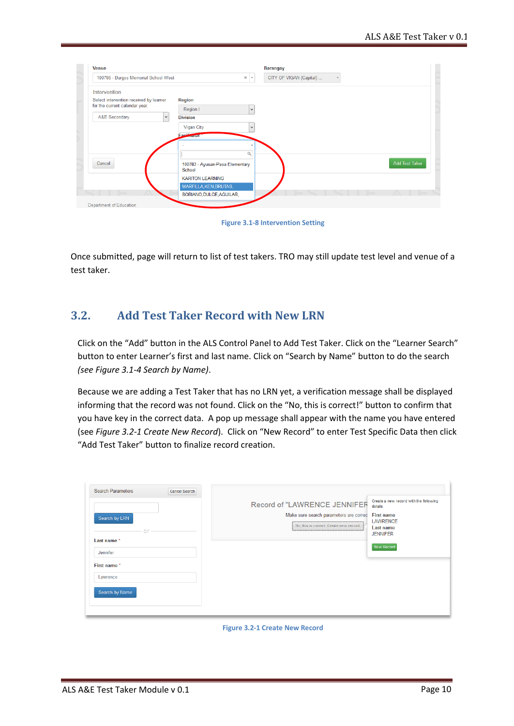| 100786 - Burgos Memorial School West    | $\times$ $\times$               | CITY OF VIGAN (Capital) |
|-----------------------------------------|---------------------------------|-------------------------|
|                                         |                                 |                         |
| Intervention                            |                                 |                         |
| Select intervention received by learner | <b>Region</b>                   |                         |
| for the current calendar year.          | Region I<br>$\checkmark$        |                         |
| $\checkmark$<br>A&E Secondary           | <b>Division</b>                 |                         |
|                                         | Vigan City<br>$\checkmark$      |                         |
|                                         | Facilities                      |                         |
|                                         |                                 |                         |
|                                         | $\alpha$                        |                         |
| Cancel                                  | 100783 - Ayusan-Paoa Elementary | Add Test Taker          |
|                                         | School                          |                         |
|                                         | <b>KARITON LEARNING</b>         |                         |
|                                         | MARFILLA, KEN, BRUTAS,          |                         |
|                                         | SORIANO, DULCE, AGUILAR,        |                         |
| Department of Education                 |                                 |                         |

**Figure 3.1-8 Intervention Setting**

<span id="page-9-0"></span>Once submitted, page will return to list of test takers. TRO may still update test level and venue of a test taker.

## **3.2. Add Test Taker Record with New LRN**

Click on the "Add" button in the ALS Control Panel to Add Test Taker. Click on the "Learner Search" button to enter Learner's first and last name. Click on "Search by Name" button to do the search *(see Figure 3.1-4 Search by Name)*.

Because we are adding a Test Taker that has no LRN yet, a verification message shall be displayed informing that the record was not found. Click on the "No, this is correct!" button to confirm that you have key in the correct data. A pop up message shall appear with the name you have entered (see *Figure 3.2-1 Create New Record*). Click on "New Record" to enter Test Specific Data then click "Add Test Taker" button to finalize record creation.

| <b>Search Parameters</b><br><b>Cancel Search</b><br>Search by LRN<br>or<br>Last name*<br>Jennifer<br>First name*<br>Lawrence | Record of "LAWRENCE JENNIFER<br>Make sure search parameters are correc<br>No, this is correct. Create new record. | Create a new record with the following<br>details<br><b>First name</b><br><b>LAWRENCE</b><br><b>Last name</b><br><b>JENNIFER</b><br>New Record |
|------------------------------------------------------------------------------------------------------------------------------|-------------------------------------------------------------------------------------------------------------------|------------------------------------------------------------------------------------------------------------------------------------------------|
| Search by Name                                                                                                               |                                                                                                                   |                                                                                                                                                |

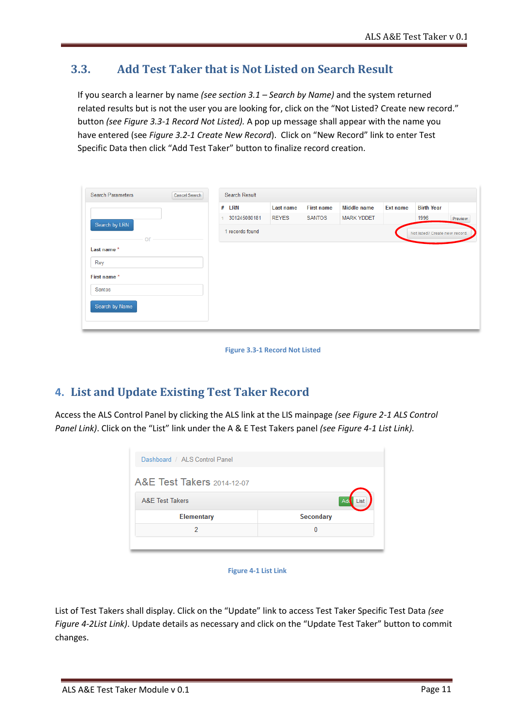## <span id="page-10-0"></span>**3.3. Add Test Taker that is Not Listed on Search Result**

If you search a learner by name *(see section 3.1 – Search by Name)* and the system returned related results but is not the user you are looking for, click on the "Not Listed? Create new record." button *(see Figure 3.3-1 Record Not Listed).* A pop up message shall appear with the name you have entered (see *Figure 3.2-1 Create New Record*). Click on "New Record" link to enter Test Specific Data then click "Add Test Taker" button to finalize record creation.

|            | $#$ LRN         | Last name    | <b>First name</b> | Middle name       | <b>Ext name</b> | <b>Birth Year</b> |                                |
|------------|-----------------|--------------|-------------------|-------------------|-----------------|-------------------|--------------------------------|
|            | 301245080181    | <b>REYES</b> | <b>SANTOS</b>     | <b>MARK YDDET</b> |                 | 1996              | Preview                        |
| $-$ or $-$ | 1 records found |              |                   |                   |                 |                   |                                |
|            |                 |              |                   |                   |                 |                   |                                |
|            |                 |              |                   |                   |                 |                   |                                |
|            |                 |              |                   |                   |                 |                   |                                |
|            |                 |              |                   |                   |                 |                   |                                |
|            |                 |              |                   |                   |                 |                   |                                |
|            |                 |              |                   |                   |                 |                   | Not listed? Create new record. |



## <span id="page-10-1"></span>**4. List and Update Existing Test Taker Record**

Access the ALS Control Panel by clicking the ALS link at the LIS mainpage *(see Figure 2-1 ALS Control Panel Link)*. Click on the "List" link under the A & E Test Takers panel *(see Figure 4-1 List Link).*

| Dashboard / ALS Control Panel |           |
|-------------------------------|-----------|
| A&E Test Takers 2014-12-07    |           |
| <b>A&amp;E Test Takers</b>    | ist       |
| Elementary                    | Secondary |
| 2                             | 0         |

#### **Figure 4-1 List Link**

List of Test Takers shall display. Click on the "Update" link to access Test Taker Specific Test Data *(see Figure 4-2List Link)*. Update details as necessary and click on the "Update Test Taker" button to commit changes.